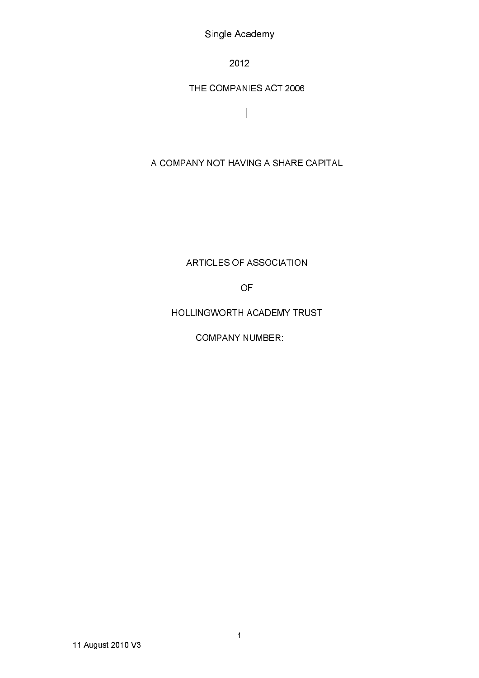Single Academy

2012

# THE COMPANIES ACT 2006

 $\bar{\mathcal{I}}$ 

# A COMPANY NOT HAVING A SHARE CAPITAL

ARTICLES OF ASSOCIATION

**OF** 

HOLLINGWORTH ACADEMY TRUST

**COMPANY NUMBER:**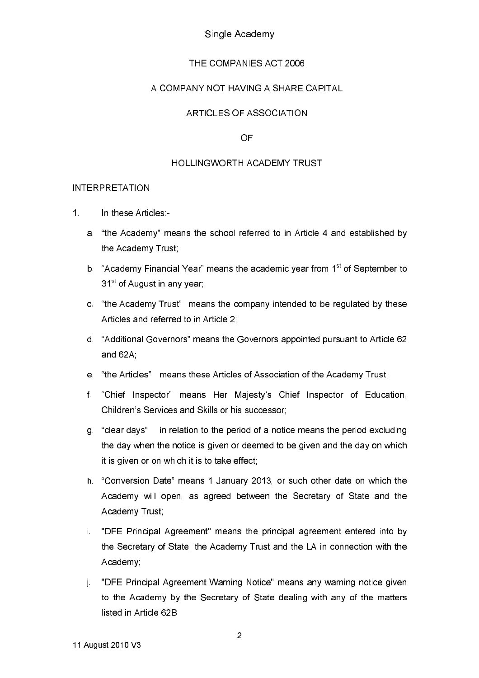### Single Academy

### THE COMPANIES ACT 2006

### A COMPANY NOT HAVING A SHARE CAPITAL

### ARTICLES OF ASSOCIATION

#### OF

#### **HOLLINGWORTH ACADEMY TRUST**

#### **INTERPRETATION**

- $1<sup>1</sup>$ In these Articles:
	- a. "the Academy" means the school referred to in Article 4 and established by the Academy Trust;
	- b. "Academy Financial Year" means the academic year from 1<sup>st</sup> of September to 31<sup>st</sup> of August in any year;
	- c. "the Academy Trust" means the company intended to be regulated by these Articles and referred to in Article 2.
	- d. "Additional Governors" means the Governors appointed pursuant to Article 62 and 62A;
	- e. "the Articles" means these Articles of Association of the Academy Trust;
	- f. "Chief Inspector" means Her Majesty's Chief Inspector of Education, Children's Services and Skills or his successor:
	- a "clear davs" in relation to the period of a notice means the period excluding the day when the notice is given or deemed to be given and the day on which it is given or on which it is to take effect;
	- h. "Conversion Date" means 1 January 2013, or such other date on which the Academy will open, as agreed between the Secretary of State and the Academy Trust,
	- i. "DFE Principal Agreement" means the principal agreement entered into by the Secretary of State, the Academy Trust and the LA in connection with the Academy;
	- j. "DFE Principal Agreement Warning Notice" means any warning notice given to the Academy by the Secretary of State dealing with any of the matters listed in Article 62B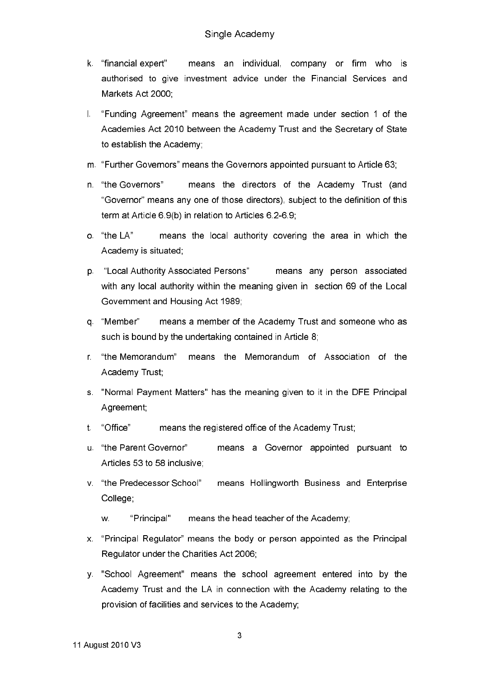- k "financial expert" means an individual, company or firm who is authorised to give investment advice under the Financial Services and Markets Act 2000:
- I. "Funding Agreement" means the agreement made under section 1 of the Academies Act 2010 between the Academy Trust and the Secretary of State to establish the Academy:
- m. "Further Governors" means the Governors appointed pursuant to Article 63:
- n. "the Governors" means the directors of the Academy Trust (and "Governor" means any one of those directors), subject to the definition of this term at Article 6.9(b) in relation to Articles 6.2-6.9;
- o "the LA" means the local authority covering the area in which the Academy is situated;
- p. "Local Authority Associated Persons" means any person associated with any local authority within the meaning given in section 69 of the Local Government and Housing Act 1989;
- q "Member" means a member of the Academy Trust and someone who as such is bound by the undertaking contained in Article 8;
- r "the Memorandum" means the Memorandum of Association of the Academy Trust:
- s. "Normal Payment Matters" has the meaning given to it in the DFE Principal Agreement;
- t "Office" means the registered office of the Academy Trust;
- u. "the Parent Governor" means a Governor appointed pursuant to Articles 53 to 58 inclusive:
- v. "the Predecessor School" means Hollingworth Business and Enterprise College:
	- W. "Principal" means the head teacher of the Academy;
- x. "Principal Regulator" means the body or person appointed as the Principal Regulator under the Charities Act 2006:
- y. "School Agreement" means the school agreement entered into by the Academy Trust and the LA in connection with the Academy relating to the provision of facilities and services to the Academy: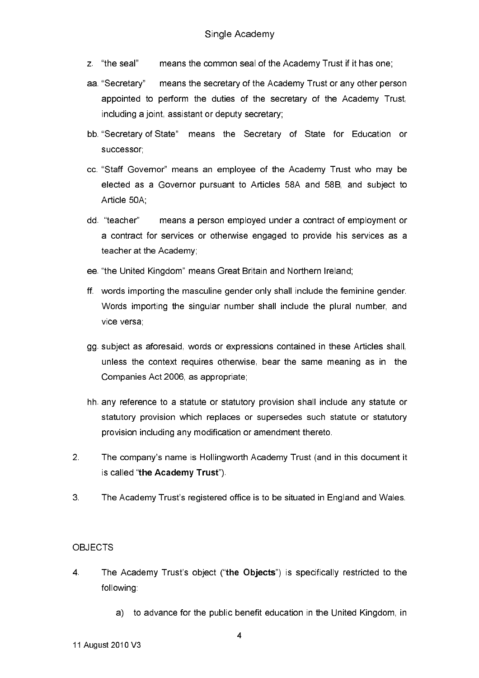- means the common seal of the Academy Trust if it has one; z "the seal"
- aa "Secretary" means the secretary of the Academy Trust or any other person appointed to perform the duties of the secretary of the Academy Trust, including a joint, assistant or deputy secretary;
- bb. "Secretary of State" means the Secretary of State for Education or successor:
- cc. "Staff Governor" means an employee of the Academy Trust who may be elected as a Governor pursuant to Articles 58A and 58B, and subject to Article 50A
- dd "teacher" means a person employed under a contract of employment or a contract for services or otherwise engaged to provide his services as a teacher at the Academy;
- ee. "the United Kingdom" means Great Britain and Northern Ireland;
- ff. words importing the masculine gender only shall include the feminine gender. Words importing the singular number shall include the plural number, and vice versa.
- gg subject as aforesaid, words or expressions contained in these Articles shall, unless the context requires otherwise, bear the same meaning as in the Companies Act 2006, as appropriate:
- hh. any reference to a statute or statutory provision shall include any statute or statutory provision which replaces or supersedes such statute or statutory provision including any modification or amendment thereto.
- $\overline{2}$ The company's name is Hollingworth Academy Trust (and in this document it is called "the Academy Trust").
- $3<sup>1</sup>$ The Academy Trust's registered office is to be situated in England and Wales.

### **OBJECTS**

- $\overline{4}$ The Academy Trust's object ("the Objects") is specifically restricted to the following.
	- a) to advance for the public benefit education in the United Kingdom, in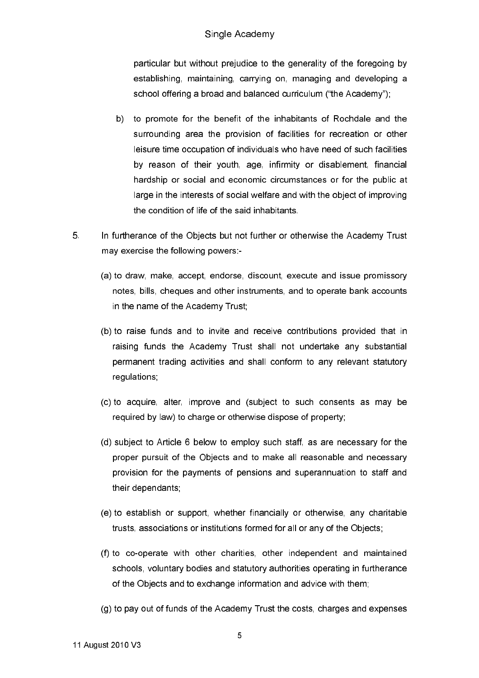particular but without prejudice to the generality of the foregoing by establishing, maintaining, carrying on, managing and developing a school offering a broad and balanced curriculum ("the Academy"):

- b) to promote for the benefit of the inhabitants of Rochdale and the surrounding area the provision of facilities for recreation or other leisure time occupation of individuals who have need of such facilities by reason of their youth, age, infirmity or disablement, financial hardship or social and economic circumstances or for the public at large in the interests of social welfare and with the object of improving the condition of life of the said inhabitants.
- $5<sub>1</sub>$ In furtherance of the Objects but not further or otherwise the Academy Trust may exercise the following powers:-
	- (a) to draw, make, accept, endorse, discount, execute and issue promissory notes, bills, cheques and other instruments, and to operate bank accounts in the name of the Academy Trust;
	- (b) to raise funds and to invite and receive contributions provided that in raising funds the Academy Trust shall not undertake any substantial permanent trading activities and shall conform to any relevant statutory requiations.
	- (c) to acquire, alter, improve and (subject to such consents as may be required by law) to charge or otherwise dispose of property;
	- (d) subject to Article 6 below to employ such staff, as are necessary for the proper pursuit of the Objects and to make all reasonable and necessary provision for the payments of pensions and superannuation to staff and their dependants;
	- (e) to establish or support, whether financially or otherwise, any charitable trusts, associations or institutions formed for all or any of the Objects;
	- (f) to co-operate with other charities, other independent and maintained schools, voluntary bodies and statutory authorities operating in furtherance of the Objects and to exchange information and advice with them;
	- (g) to pay out of funds of the Academy Trust the costs, charges and expenses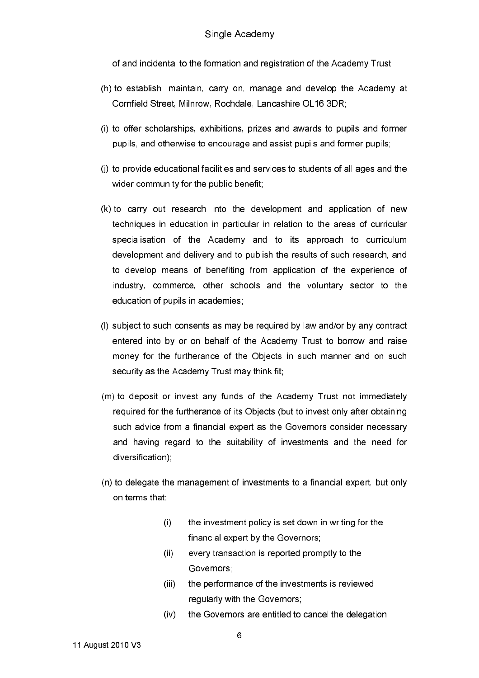of and incidental to the formation and registration of the Academy Trust.

- (h) to establish, maintain, carry on, manage and develop the Academy at Cornfield Street, Milnrow, Rochdale, Lancashire OL16 3DR:
- (i) to offer scholarships, exhibitions, prizes and awards to pupils and former pupils, and otherwise to encourage and assist pupils and former pupils,
- (j) to provide educational facilities and services to students of all ages and the wider community for the public benefit;
- (k) to carry out research into the development and application of new techniques in education in particular in relation to the areas of curricular specialisation of the Academy and to its approach to curriculum development and delivery and to publish the results of such research, and to develop means of benefiting from application of the experience of industry, commerce, other schools and the voluntary sector to the education of pupils in academies:
- (I) subject to such consents as may be required by law and/or by any contract entered into by or on behalf of the Academy Trust to borrow and raise money for the furtherance of the Objects in such manner and on such security as the Academy Trust may think fit;
- (m) to deposit or invest any funds of the Academy Trust not immediately required for the furtherance of its Objects (but to invest only after obtaining such advice from a financial expert as the Governors consider necessary and having regard to the suitability of investments and the need for diversification);
- (n) to delegate the management of investments to a financial expert, but only on terms that:
	- $(i)$ the investment policy is set down in writing for the financial expert by the Governors,
	- $(ii)$ every transaction is reported promptly to the Governors:
	- the performance of the investments is reviewed  $(iii)$ requiarly with the Governors:
	- $(iv)$ the Governors are entitled to cancel the delegation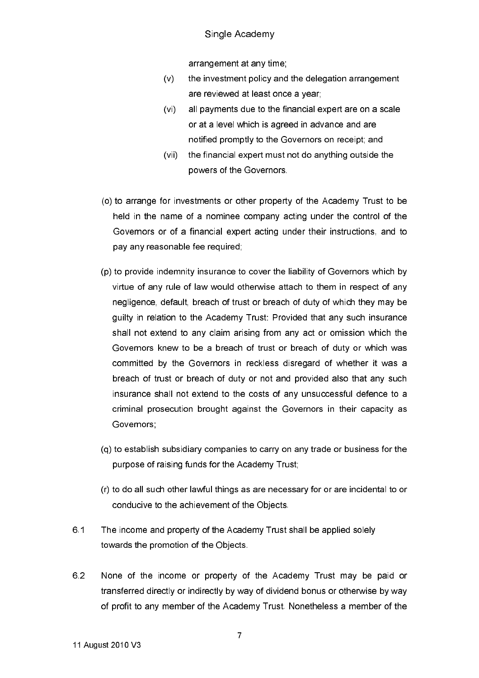### Single Academy

arrangement at any time;

- $(v)$ the investment policy and the delegation arrangement are reviewed at least once a year;
- $(vi)$ all payments due to the financial expert are on a scale or at a level which is agreed in advance and are notified promptly to the Governors on receipt; and
- $(vii)$ the financial expert must not do anything outside the powers of the Governors.
- (o) to arrange for investments or other property of the Academy Trust to be held in the name of a nominee company acting under the control of the Governors or of a financial expert acting under their instructions, and to pay any reasonable fee required;
- (p) to provide indemnity insurance to cover the liability of Governors which by virtue of any rule of law would otherwise attach to them in respect of any negligence, default, breach of trust or breach of duty of which they may be guilty in relation to the Academy Trust: Provided that any such insurance shall not extend to any claim arising from any act or omission which the Governors knew to be a breach of trust or breach of duty or which was committed by the Governors in reckless disregard of whether it was a breach of trust or breach of duty or not and provided also that any such insurance shall not extend to the costs of any unsuccessful defence to a criminal prosecution brought against the Governors in their capacity as Governors;
- (q) to establish subsidiary companies to carry on any trade or business for the purpose of raising funds for the Academy Trust;
- (r) to do all such other lawful things as are necessary for or are incidental to or conducive to the achievement of the Objects.
- $6.1$ The income and property of the Academy Trust shall be applied solely towards the promotion of the Objects.
- 6.2 None of the income or property of the Academy Trust may be paid or transferred directly or indirectly by way of dividend bonus or otherwise by way of profit to any member of the Academy Trust. Nonetheless a member of the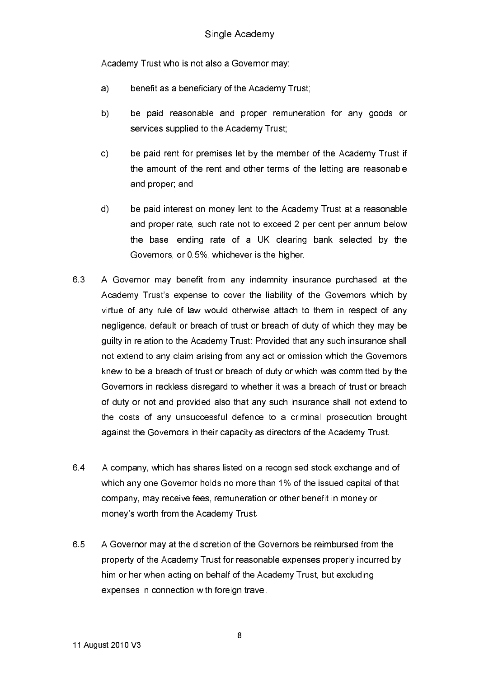Academy Trust who is not also a Governor may

- benefit as a beneficiary of the Academy Trust;  $a)$
- b) be paid reasonable and proper remuneration for any goods or services supplied to the Academy Trust:
- $c)$ be paid rent for premises let by the member of the Academy Trust if the amount of the rent and other terms of the letting are reasonable and proper; and
- $\mathsf{d}$ be paid interest on money lent to the Academy Trust at a reasonable and proper rate, such rate not to exceed 2 per cent per annum below the base lending rate of a UK clearing bank selected by the Governors, or 0.5%, whichever is the higher.
- 6.3 A Governor may benefit from any indemnity insurance purchased at the Academy Trust's expense to cover the liability of the Governors which by virtue of any rule of law would otherwise attach to them in respect of any negligence, default or breach of trust or breach of duty of which they may be quilty in relation to the Academy Trust: Provided that any such insurance shall not extend to any claim arising from any act or omission which the Governors knew to be a breach of trust or breach of duty or which was committed by the Governors in reckless disregard to whether it was a breach of trust or breach of duty or not and provided also that any such insurance shall not extend to the costs of any unsuccessful defence to a criminal prosecution brought against the Governors in their capacity as directors of the Academy Trust.
- 64 A company, which has shares listed on a recognised stock exchange and of which any one Governor holds no more than 1% of the issued capital of that company, may receive fees, remuneration or other benefit in money or money's worth from the Academy Trust.
- 6.5 A Governor may at the discretion of the Governors be reimbursed from the property of the Academy Trust for reasonable expenses properly incurred by him or her when acting on behalf of the Academy Trust, but excluding expenses in connection with foreign travel.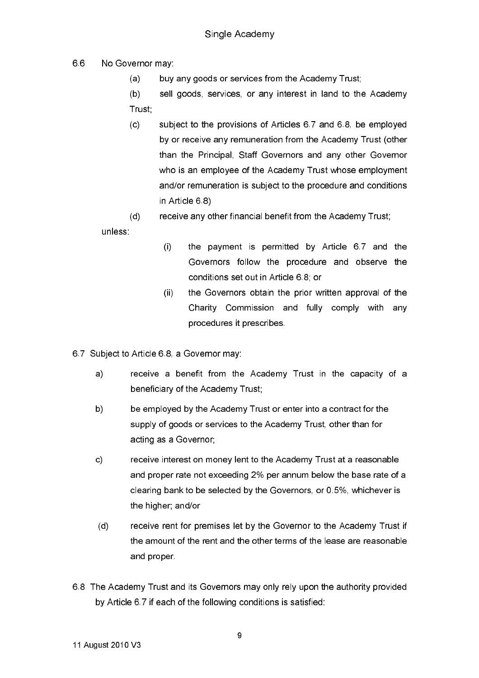- 66 No Governor may:
	- $(a)$ buy any goods or services from the Academy Trust;

 $(b)$ sell goods, services, or any interest in land to the Academy Trust;

subject to the provisions of Articles 6.7 and 6.8, be employed  $(c)$ by or receive any remuneration from the Academy Trust (other than the Principal, Staff Governors and any other Governor who is an employee of the Academy Trust whose employment and/or remuneration is subject to the procedure and conditions in Article 6 8)

#### $(d)$ receive any other financial benefit from the Academy Trust; unless

- $(i)$ the payment is permitted by Article 6.7 and the Governors follow the procedure and observe the conditions set out in Article 6.8; or
- the Governors obtain the prior written approval of the  $(i)$ Charity Commission and fully comply with any procedures it prescribes
- 6.7 Subject to Article 6.8, a Governor may:
	- $a)$ receive a benefit from the Academy Trust in the capacity of a beneficiary of the Academy Trust;
	- b) be employed by the Academy Trust or enter into a contract for the supply of goods or services to the Academy Trust, other than for acting as a Governor;
	- $c)$ receive interest on money lent to the Academy Trust at a reasonable and proper rate not exceeding 2% per annum below the base rate of a clearing bank to be selected by the Governors, or 0.5%, whichever is the higher, and/or
	- $(d)$ receive rent for premises let by the Governor to the Academy Trust if the amount of the rent and the other terms of the lease are reasonable and proper.
- 6.8 The Academy Trust and its Governors may only rely upon the authority provided by Article 6.7 if each of the following conditions is satisfied: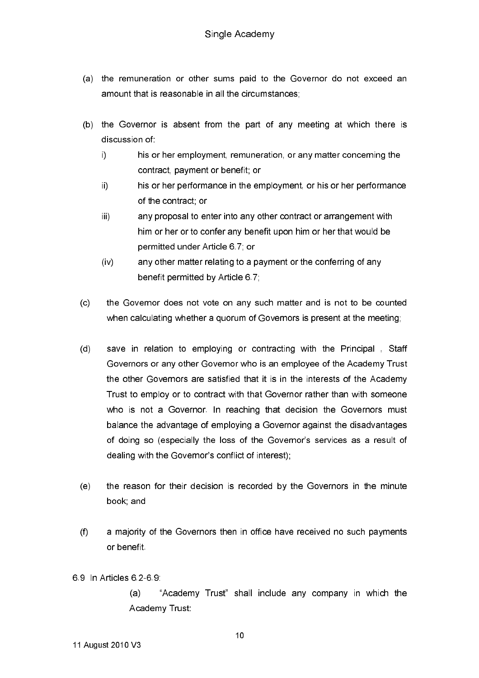- (a) the remuneration or other sums paid to the Governor do not exceed an amount that is reasonable in all the circumstances:
- (b) the Governor is absent from the part of any meeting at which there is discussion of
	- i) his or her employment, remuneration, or any matter concerning the contract, payment or benefit; or
	- $\mathbf{ii}$ his or her performance in the employment, or his or her performance of the contract or
	- iii) any proposal to enter into any other contract or arrangement with him or her or to confer any benefit upon him or her that would be permitted under Article 6.7; or
	- $(iv)$ any other matter relating to a payment or the conferring of any benefit permitted by Article 6.7,
- $(c)$ the Governor does not vote on any such matter and is not to be counted when calculating whether a quorum of Governors is present at the meeting;
- $(d)$ save in relation to employing or contracting with the Principal, Staff Governors or any other Governor who is an employee of the Academy Trust the other Governors are satisfied that it is in the interests of the Academy Trust to employ or to contract with that Governor rather than with someone who is not a Governor. In reaching that decision the Governors must balance the advantage of employing a Governor against the disadvantages of doing so (especially the loss of the Governor's services as a result of dealing with the Governor's conflict of interest);
- $(e)$ the reason for their decision is recorded by the Governors in the minute book and
- $(f)$ a majority of the Governors then in office have received no such payments or benefit
- 6.9 In Articles 6.2-6.9

"Academy Trust" shall include any company in which the  $(a)$ Academy Trust: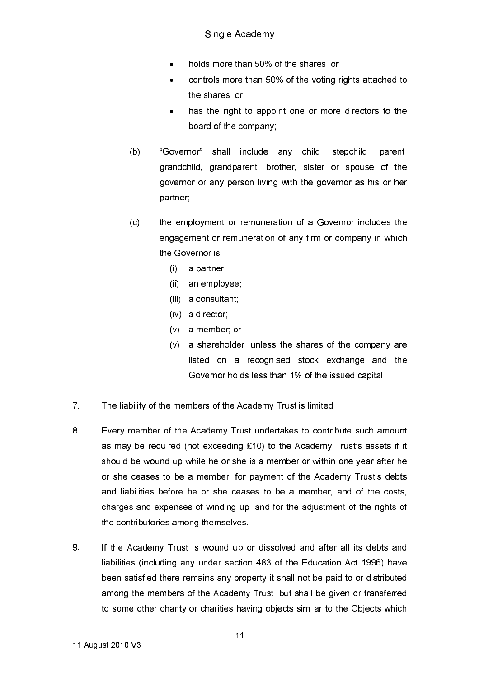- holds more than 50% of the shares; or
- controls more than 50% of the voting rights attached to  $\bullet$ the shares or
- has the right to appoint one or more directors to the board of the company.
- "Governor"  $(b)$ shall include any child. stepchild, parent. grandchild, grandparent, brother, sister or spouse of the governor or any person living with the governor as his or her partner;
- the employment or remuneration of a Governor includes the  $(c)$ engagement or remuneration of any firm or company in which the Governor is:
	- $(i)$  a partner;
	- (ii) an employee;
	- (iii) a consultant;
	- (iv) a director;
	- $(v)$  a member; or
	- (v) a shareholder, unless the shares of the company are listed on a recognised stock exchange and the Governor holds less than 1% of the issued capital.
- $\overline{7}$ The liability of the members of the Academy Trust is limited.
- 8 Every member of the Academy Trust undertakes to contribute such amount as may be required (not exceeding £10) to the Academy Trust's assets if it should be wound up while he or she is a member or within one year after he or she ceases to be a member, for payment of the Academy Trust's debts and liabilities before he or she ceases to be a member, and of the costs, charges and expenses of winding up, and for the adjustment of the rights of the contributories among themselves.
- 9 If the Academy Trust is wound up or dissolved and after all its debts and liabilities (including any under section 483 of the Education Act 1996) have been satisfied there remains any property it shall not be paid to or distributed among the members of the Academy Trust, but shall be given or transferred to some other charity or charities having objects similar to the Objects which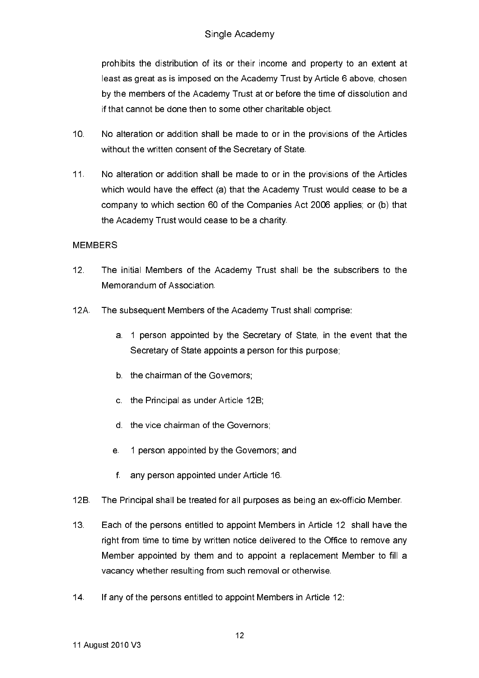# Single Academy

prohibits the distribution of its or their income and property to an extent at least as great as is imposed on the Academy Trust by Article 6 above, chosen by the members of the Academy Trust at or before the time of dissolution and if that cannot be done then to some other charitable object.

- $10<sup>1</sup>$ No alteration or addition shall be made to or in the provisions of the Articles without the written consent of the Secretary of State.
- $11<sub>1</sub>$ No alteration or addition shall be made to or in the provisions of the Articles which would have the effect (a) that the Academy Trust would cease to be a company to which section 60 of the Companies Act 2006 applies; or (b) that the Academy Trust would cease to be a charity.

### **MEMBERS**

- $12<sup>7</sup>$ The initial Members of the Academy Trust shall be the subscribers to the Memorandum of Association
- $12A$ The subsequent Members of the Academy Trust shall comprise:
	- a. 1 person appointed by the Secretary of State, in the event that the Secretary of State appoints a person for this purpose:
	- b. the chairman of the Governors:
	- c. the Principal as under Article 12B;
	- d the vice chairman of the Governors:
	- 1 person appointed by the Governors; and  $e$
	- any person appointed under Article 16.  $f$
- $12B$ The Principal shall be treated for all purposes as being an ex-officio Member.
- $13<sup>7</sup>$ Each of the persons entitled to appoint Members in Article 12 shall have the right from time to time by written notice delivered to the Office to remove any Member appointed by them and to appoint a replacement Member to fill a vacancy whether resulting from such removal or otherwise.
- $14$ If any of the persons entitled to appoint Members in Article 12: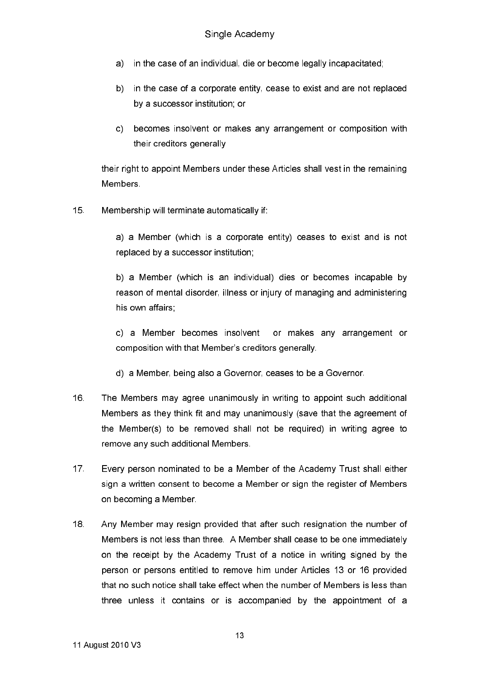- in the case of an individual, die or become legally incapacitated; a)
- b) in the case of a corporate entity, cease to exist and are not replaced by a successor institution: or
- c) becomes insolvent or makes any arrangement or composition with their creditors generally

their right to appoint Members under these Articles shall vest in the remaining **Members** 

 $15<sub>1</sub>$ Membership will terminate automatically if:

> a) a Member (which is a corporate entity) ceases to exist and is not replaced by a successor institution;

> b) a Member (which is an individual) dies or becomes incapable by reason of mental disorder, illness or injury of managing and administering his own affairs

> c) a Member becomes insolvent or makes any arrangement or composition with that Member's creditors generally.

- d) a Member, being also a Governor, ceases to be a Governor.
- $16<sup>1</sup>$ The Members may agree unanimously in writing to appoint such additional Members as they think fit and may unanimously (save that the agreement of the Member(s) to be removed shall not be required) in writing agree to remove any such additional Members.
- $17<sup>2</sup>$ Every person nominated to be a Member of the Academy Trust shall either sign a written consent to become a Member or sign the register of Members on becoming a Member.
- $18<sup>1</sup>$ Any Member may resign provided that after such resignation the number of Members is not less than three. A Member shall cease to be one immediately on the receipt by the Academy Trust of a notice in writing signed by the person or persons entitled to remove him under Articles 13 or 16 provided that no such notice shall take effect when the number of Members is less than three unless it contains or is accompanied by the appointment of a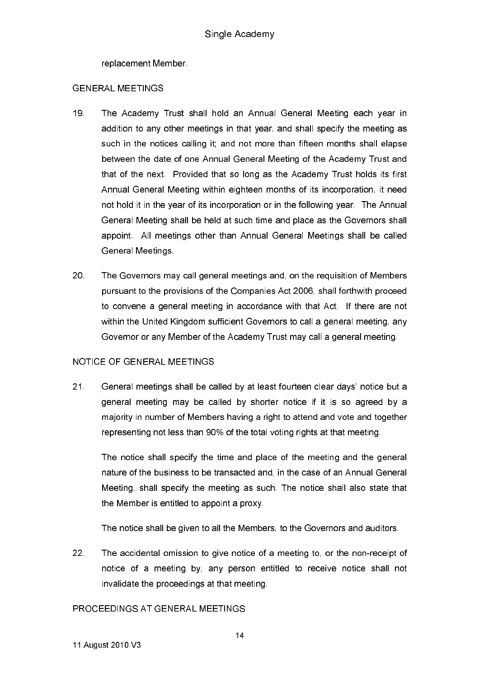replacement Member.

### **GENERAL MEETINGS**

- $19<sup>°</sup>$ The Academy Trust shall hold an Annual General Meeting each year in addition to any other meetings in that year, and shall specify the meeting as such in the notices calling it; and not more than fifteen months shall elapse between the date of one Annual General Meeting of the Academy Trust and that of the next. Provided that so long as the Academy Trust holds its first Annual General Meeting within eighteen months of its incorporation, it need not hold it in the year of its incorporation or in the following year. The Annual General Meeting shall be held at such time and place as the Governors shall appoint. All meetings other than Annual General Meetings shall be called General Meetings
- 20 The Governors may call general meetings and, on the requisition of Members pursuant to the provisions of the Companies Act 2006, shall forthwith proceed to convene a general meeting in accordance with that Act. If there are not within the United Kingdom sufficient Governors to call a general meeting, any Governor or any Member of the Academy Trust may call a general meeting.

### NOTICE OF GENERAL MEETINGS

 $21.$ General meetings shall be called by at least fourteen clear days' notice but a general meeting may be called by shorter notice if it is so agreed by a majority in number of Members having a right to attend and vote and together representing not less than 90% of the total voting rights at that meeting.

The notice shall specify the time and place of the meeting and the general nature of the business to be transacted and, in the case of an Annual General Meeting, shall specify the meeting as such. The notice shall also state that the Member is entitled to appoint a proxy.

The notice shall be given to all the Members, to the Governors and auditors.

 $22<sub>1</sub>$ The accidental omission to give notice of a meeting to, or the non-receipt of notice of a meeting by, any person entitled to receive notice shall not invalidate the proceedings at that meeting.

## PROCEEDINGS AT GENERAL MEETINGS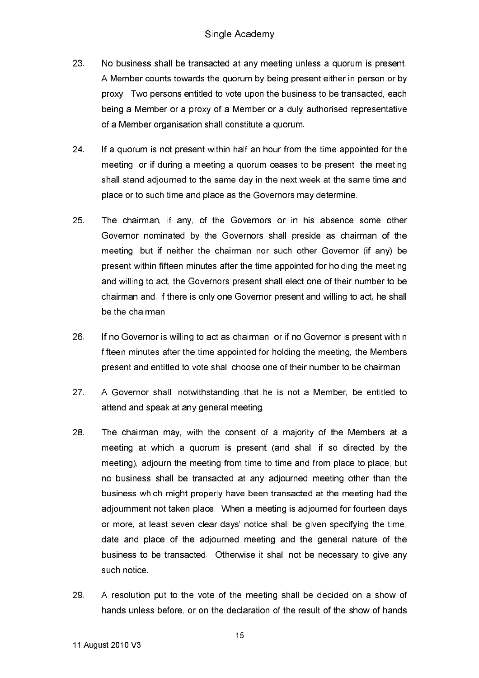- 23 No business shall be transacted at any meeting unless a quorum is present. A Member counts towards the quorum by being present either in person or by proxy. Two persons entitled to vote upon the business to be transacted, each being a Member or a proxy of a Member or a duly authorised representative of a Member organisation shall constitute a quorum.
- 24. If a quorum is not present within half an hour from the time appointed for the meeting, or if during a meeting a guorum ceases to be present, the meeting shall stand adjourned to the same day in the next week at the same time and place or to such time and place as the Governors may determine.
- 25 The chairman, if any, of the Governors or in his absence some other Governor nominated by the Governors shall preside as chairman of the meeting, but if neither the chairman nor such other Governor (if any) be present within fifteen minutes after the time appointed for holding the meeting and willing to act, the Governors present shall elect one of their number to be chairman and, if there is only one Governor present and willing to act, he shall be the chairman
- 26 If no Governor is willing to act as chairman, or if no Governor is present within fifteen minutes after the time appointed for holding the meeting, the Members present and entitled to vote shall choose one of their number to be chairman.
- 27 A Governor shall, notwithstanding that he is not a Member, be entitled to attend and speak at any general meeting.
- 28 The chairman may, with the consent of a majority of the Members at a meeting at which a quorum is present (and shall if so directed by the meeting), adjourn the meeting from time to time and from place to place, but no business shall be transacted at any adjourned meeting other than the business which might properly have been transacted at the meeting had the adjournment not taken place. When a meeting is adjourned for fourteen days or more, at least seven clear days' notice shall be given specifying the time, date and place of the adjourned meeting and the general nature of the business to be transacted. Otherwise it shall not be necessary to give any such notice
- 29 A resolution put to the vote of the meeting shall be decided on a show of hands unless before, or on the declaration of the result of the show of hands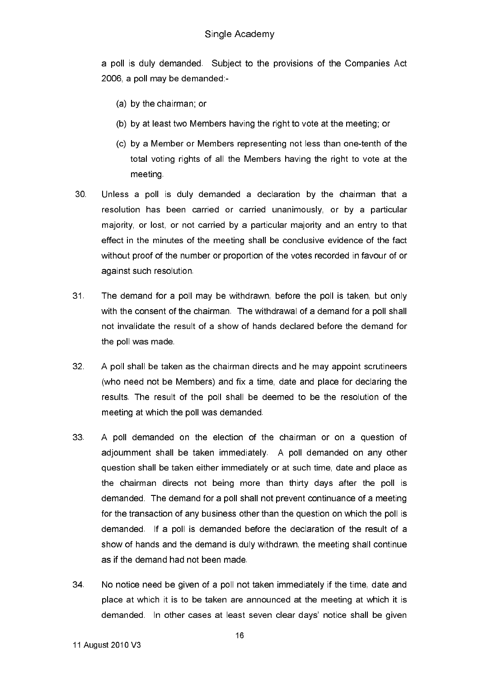a poll is duly demanded. Subject to the provisions of the Companies Act 2006, a poll may be demanded:-

- (a) by the chairman: or
- (b) by at least two Members having the right to vote at the meeting, or
- (c) by a Member or Members representing not less than one-tenth of the total voting rights of all the Members having the right to vote at the meeting.
- $30<sub>1</sub>$ Unless a poll is duly demanded a declaration by the chairman that a resolution has been carried or carried unanimously, or by a particular majority, or lost, or not carried by a particular majority and an entry to that effect in the minutes of the meeting shall be conclusive evidence of the fact without proof of the number or proportion of the votes recorded in favour of or against such resolution
- $31<sub>1</sub>$ The demand for a poll may be withdrawn, before the poll is taken, but only with the consent of the chairman. The withdrawal of a demand for a poll shall not invalidate the result of a show of hands declared before the demand for the poll was made.
- $32<sub>1</sub>$ A poll shall be taken as the chairman directs and he may appoint scrutineers (who need not be Members) and fix a time, date and place for declaring the results. The result of the poll shall be deemed to be the resolution of the meeting at which the poll was demanded.
- 33 A poll demanded on the election of the chairman or on a question of adjournment shall be taken immediately. A poll demanded on any other question shall be taken either immediately or at such time, date and place as the chairman directs not being more than thirty days after the poll is demanded. The demand for a poll shall not prevent continuance of a meeting for the transaction of any business other than the question on which the poll is demanded. If a poll is demanded before the declaration of the result of a show of hands and the demand is duly withdrawn, the meeting shall continue as if the demand had not been made.
- 34. No notice need be given of a poll not taken immediately if the time, date and place at which it is to be taken are announced at the meeting at which it is demanded. In other cases at least seven clear days' notice shall be given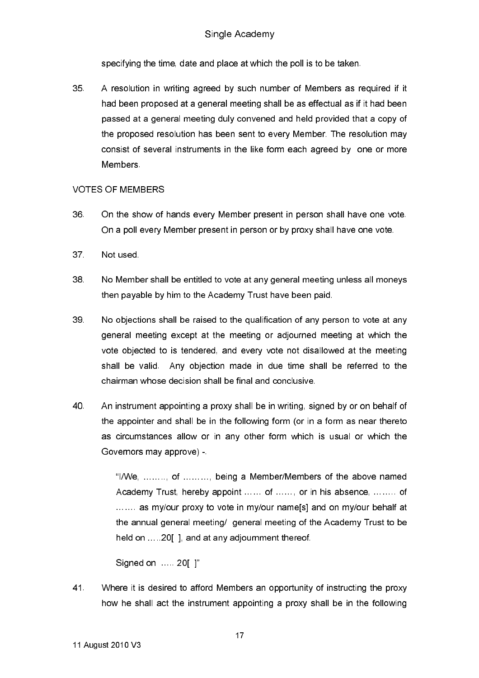specifying the time, date and place at which the poll is to be taken.

35 A resolution in writing agreed by such number of Members as reguired if it had been proposed at a general meeting shall be as effectual as if it had been passed at a general meeting duly convened and held provided that a copy of the proposed resolution has been sent to every Member. The resolution may consist of several instruments in the like form each agreed by one or more Members.

### **VOTES OF MEMBERS**

- 36. On the show of hands every Member present in person shall have one vote. On a poll every Member present in person or by proxy shall have one vote.
- 37 Not used
- 38 No Member shall be entitled to vote at any general meeting unless all moneys then payable by him to the Academy Trust have been paid.
- 39 No objections shall be raised to the qualification of any person to vote at any general meeting except at the meeting or adjourned meeting at which the vote objected to is tendered, and every vote not disallowed at the meeting shall be valid. Any objection made in due time shall be referred to the chairman whose decision shall be final and conclusive.
- 40 An instrument appointing a proxy shall be in writing, signed by or on behalf of the appointer and shall be in the following form (or in a form as near thereto as circumstances allow or in any other form which is usual or which the Governors may approve) -

"I/We, ......... of .......... being a Member/Members of the above named Academy Trust, hereby appoint ...... of ......, or in his absence, ........ of ....... as my/our proxy to vote in my/our name s and on my/our behalf at the annual general meeting/ general meeting of the Academy Trust to be held on .....20[], and at any adjournment thereof.

Signed on ..... 201 1"

41. Where it is desired to afford Members an opportunity of instructing the proxy how he shall act the instrument appointing a proxy shall be in the following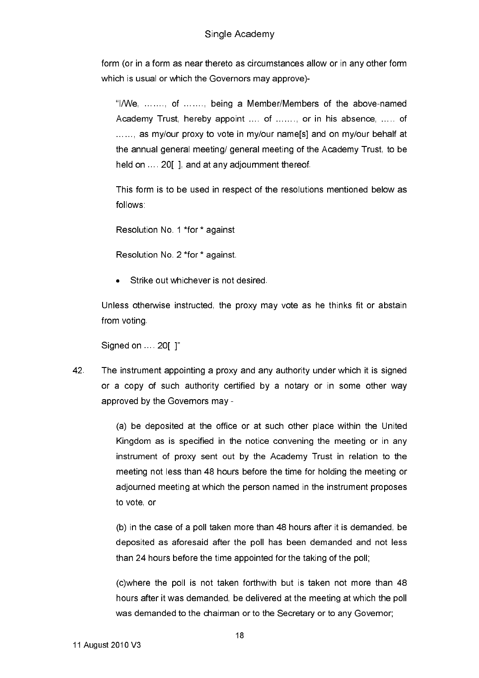### Single Academy

form (or in a form as near thereto as circumstances allow or in any other form which is usual or which the Governors may approve)-

"I/We, ....... of ....... being a Member/Members of the above-named Academy Trust, hereby appoint .... of ......., or in his absence, ..... of ......, as my/our proxy to vote in my/our name[s] and on my/our behalf at the annual general meeting/ general meeting of the Academy Trust, to be held on ..., 2011, and at any adjournment thereof.

This form is to be used in respect of the resolutions mentioned below as follows:

Resolution No. 1 \*for \* against

Resolution No. 2 \*for \* against.

Strike out whichever is not desired.

Unless otherwise instructed, the proxy may vote as he thinks fit or abstain from voting.

Signed on ... 20[ ]"

42. The instrument appointing a proxy and any authority under which it is signed or a copy of such authority certified by a notary or in some other way approved by the Governors may -

> (a) be deposited at the office or at such other place within the United Kingdom as is specified in the notice convening the meeting or in any instrument of proxy sent out by the Academy Trust in relation to the meeting not less than 48 hours before the time for holding the meeting or adjourned meeting at which the person named in the instrument proposes to vote, or

> (b) in the case of a poll taken more than 48 hours after it is demanded, be deposited as aforesaid after the poll has been demanded and not less than 24 hours before the time appointed for the taking of the poll;

> (c) where the poll is not taken forthwith but is taken not more than 48 hours after it was demanded, be delivered at the meeting at which the poll was demanded to the chairman or to the Secretary or to any Governor;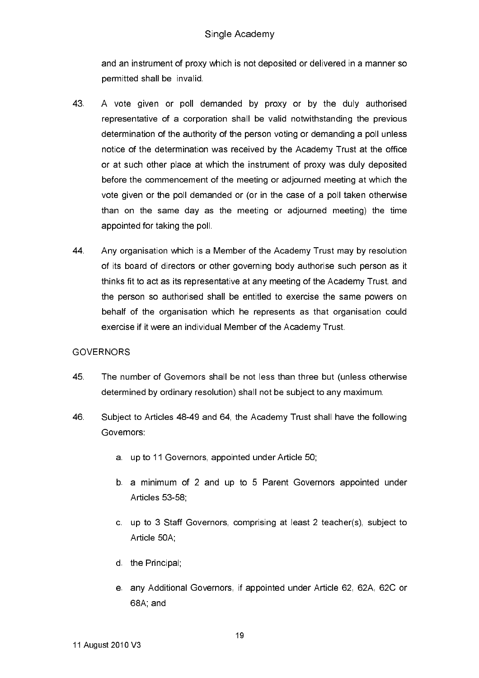and an instrument of proxy which is not deposited or delivered in a manner so permitted shall be invalid.

- 43 A vote given or poll demanded by proxy or by the duly authorised representative of a corporation shall be valid notwithstanding the previous determination of the authority of the person voting or demanding a poll unless notice of the determination was received by the Academy Trust at the office or at such other place at which the instrument of proxy was duly deposited before the commencement of the meeting or adjourned meeting at which the vote given or the poll demanded or (or in the case of a poll taken otherwise than on the same day as the meeting or adjourned meeting) the time appointed for taking the poll.
- 44. Any organisation which is a Member of the Academy Trust may by resolution of its board of directors or other governing body authorise such person as it thinks fit to act as its representative at any meeting of the Academy Trust, and the person so authorised shall be entitled to exercise the same powers on behalf of the organisation which he represents as that organisation could exercise if it were an individual Member of the Academy Trust.

### **GOVERNORS**

- 45 The number of Governors shall be not less than three but (unless otherwise determined by ordinary resolution) shall not be subject to any maximum.
- 46 Subject to Articles 48-49 and 64, the Academy Trust shall have the following Governors:
	- a. up to 11 Governors, appointed under Article 50;
	- b. a minimum of 2 and up to 5 Parent Governors appointed under Articles 53-58
	- c. up to 3 Staff Governors, comprising at least 2 teacher(s), subject to Article 50A;
	- d the Principal.
	- e. any Additional Governors, if appointed under Article 62, 62A, 62C or 68A and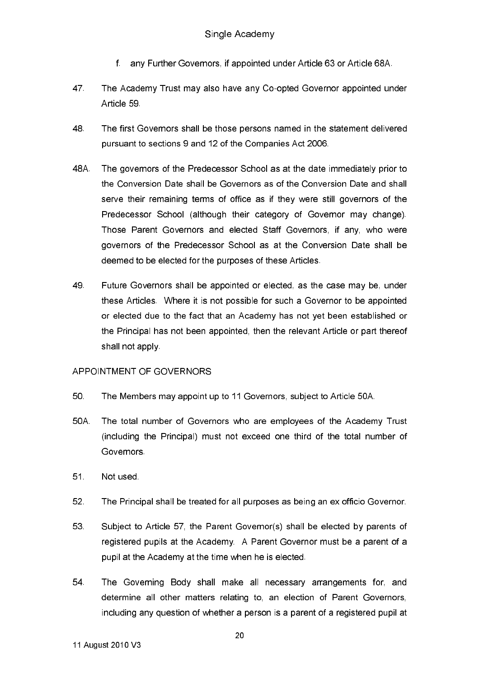- $f =$ any Further Governors, if appointed under Article 63 or Article 68A.
- 47. The Academy Trust may also have any Co-opted Governor appointed under Article 59
- 48 The first Governors shall be those persons named in the statement delivered pursuant to sections 9 and 12 of the Companies Act 2006.
- 48A The governors of the Predecessor School as at the date immediately prior to the Conversion Date shall be Governors as of the Conversion Date and shall serve their remaining terms of office as if they were still governors of the Predecessor School (although their category of Governor may change). Those Parent Governors and elected Staff Governors, if any, who were governors of the Predecessor School as at the Conversion Date shall be deemed to be elected for the purposes of these Articles.
- 49 Future Governors shall be appointed or elected, as the case may be, under these Articles. Where it is not possible for such a Governor to be appointed or elected due to the fact that an Academy has not yet been established or the Principal has not been appointed, then the relevant Article or part thereof shall not apply

#### APPOINTMENT OF GOVERNORS

- $50 -$ The Members may appoint up to 11 Governors, subject to Article 50A.
- 50A. The total number of Governors who are employees of the Academy Trust (including the Principal) must not exceed one third of the total number of Governors
- $51<sub>1</sub>$ Not used.
- 52 The Principal shall be treated for all purposes as being an ex officio Governor.
- 53 Subject to Article 57, the Parent Governor(s) shall be elected by parents of registered pupils at the Academy. A Parent Governor must be a parent of a pupil at the Academy at the time when he is elected.
- 54. The Governing Body shall make all necessary arrangements for, and determine all other matters relating to, an election of Parent Governors, including any question of whether a person is a parent of a registered pupil at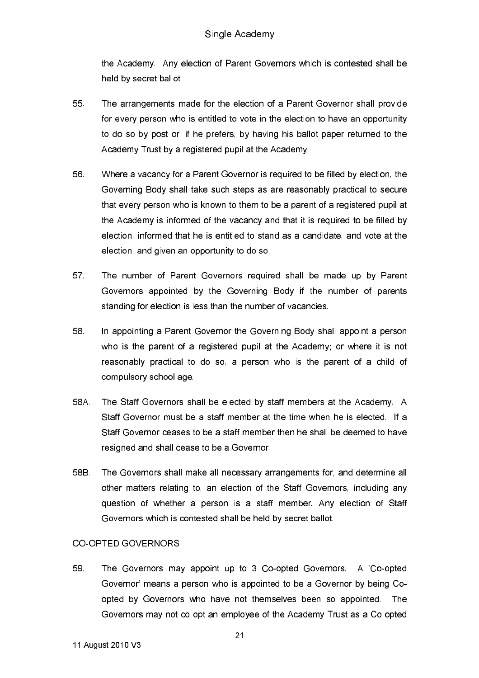the Academy. Any election of Parent Governors which is contested shall be held by secret ballot.

- 55 The arrangements made for the election of a Parent Governor shall provide for every person who is entitled to vote in the election to have an opportunity to do so by post or, if he prefers, by having his ballot paper returned to the Academy Trust by a registered pupil at the Academy.
- 56 Where a vacancy for a Parent Governor is required to be filled by election, the Governing Body shall take such steps as are reasonably practical to secure that every person who is known to them to be a parent of a registered pupil at the Academy is informed of the vacancy and that it is required to be filled by election, informed that he is entitled to stand as a candidate, and vote at the election, and given an opportunity to do so.
- 57 The number of Parent Governors required shall be made up by Parent Governors appointed by the Governing Body if the number of parents standing for election is less than the number of vacancies.
- 58. In appointing a Parent Governor the Governing Body shall appoint a person who is the parent of a registered pupil at the Academy; or where it is not reasonably practical to do so, a person who is the parent of a child of compulsory school age
- 58A. The Staff Governors shall be elected by staff members at the Academy. A Staff Governor must be a staff member at the time when he is elected. If a Staff Governor ceases to be a staff member then he shall be deemed to have resigned and shall cease to be a Governor.
- 58B. The Governors shall make all necessary arrangements for, and determine all other matters relating to, an election of the Staff Governors, including any question of whether a person is a staff member. Any election of Staff Governors which is contested shall be held by secret ballot.

### CO-OPTED GOVERNORS

59 The Governors may appoint up to 3 Co-opted Governors. A 'Co-opted Governor' means a person who is appointed to be a Governor by being Coopted by Governors who have not themselves been so appointed. The Governors may not co-opt an employee of the Academy Trust as a Co-opted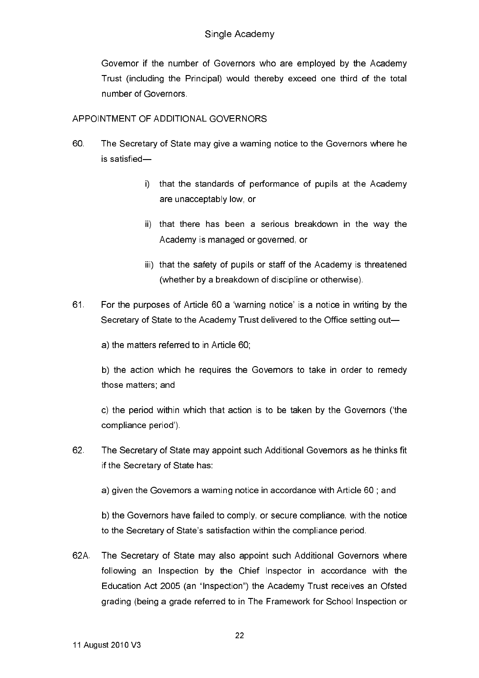Governor if the number of Governors who are employed by the Academy Trust (including the Principal) would thereby exceed one third of the total number of Governors.

### APPOINTMENT OF ADDITIONAL GOVERNORS

- 60 The Secretary of State may give a warning notice to the Governors where he is satisfied
	- i) that the standards of performance of pupils at the Academy are unacceptably low, or
	- ii) that there has been a serious breakdown in the way the Academy is managed or governed, or
	- iii) that the safety of pupils or staff of the Academy is threatened (whether by a breakdown of discipline or otherwise).
- 61. For the purposes of Article 60 a 'warning notice' is a notice in writing by the Secretary of State to the Academy Trust delivered to the Office setting out-

a) the matters referred to in Article 60,

b) the action which he requires the Governors to take in order to remedy those matters and

c) the period within which that action is to be taken by the Governors ('the compliance period').

62. The Secretary of State may appoint such Additional Governors as he thinks fit if the Secretary of State has:

a) given the Governors a warning notice in accordance with Article 60; and

b) the Governors have failed to comply, or secure compliance, with the notice to the Secretary of State's satisfaction within the compliance period.

62A The Secretary of State may also appoint such Additional Governors where following an Inspection by the Chief Inspector in accordance with the Education Act 2005 (an "Inspection") the Academy Trust receives an Ofsted grading (being a grade referred to in The Framework for School Inspection or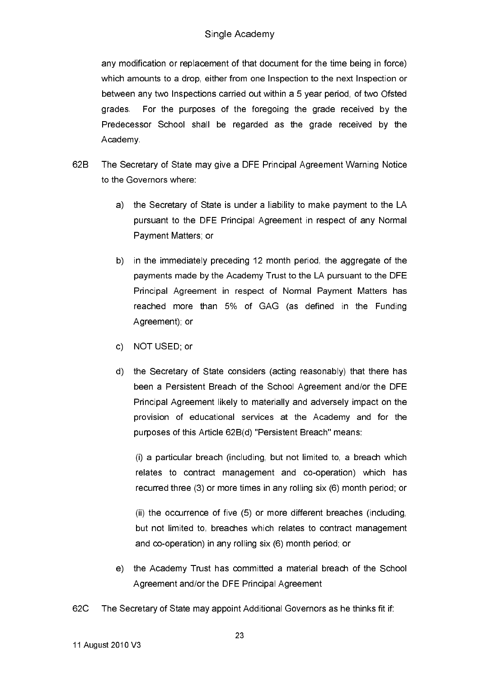any modification or replacement of that document for the time being in force) which amounts to a drop, either from one Inspection to the next Inspection or between any two Inspections carried out within a 5 year period, of two Ofsted For the purposes of the foregoing the grade received by the grades. Predecessor School shall be regarded as the grade received by the Academy

- $62B$ The Secretary of State may give a DFE Principal Agreement Warning Notice to the Governors where:
	- a) the Secretary of State is under a liability to make payment to the LA pursuant to the DFE Principal Agreement in respect of any Normal Payment Matters; or
	- b) in the immediately preceding 12 month period, the aggregate of the payments made by the Academy Trust to the LA pursuant to the DFE Principal Agreement in respect of Normal Payment Matters has reached more than 5% of GAG (as defined in the Funding Agreement); or
	- c) NOT USED; or
	- d) the Secretary of State considers (acting reasonably) that there has been a Persistent Breach of the School Agreement and/or the DFE Principal Agreement likely to materially and adversely impact on the provision of educational services at the Academy and for the purposes of this Article 62B(d) "Persistent Breach" means:

(i) a particular breach (including, but not limited to, a breach which relates to contract management and co-operation) which has recurred three (3) or more times in any rolling six (6) month period; or

(ii) the occurrence of five (5) or more different breaches (including, but not limited to, breaches which relates to contract management and co-operation) in any rolling six (6) month period; or

- the Academy Trust has committed a material breach of the School  $e)$ Agreement and/or the DFE Principal Agreement
- 62C The Secretary of State may appoint Additional Governors as he thinks fit if: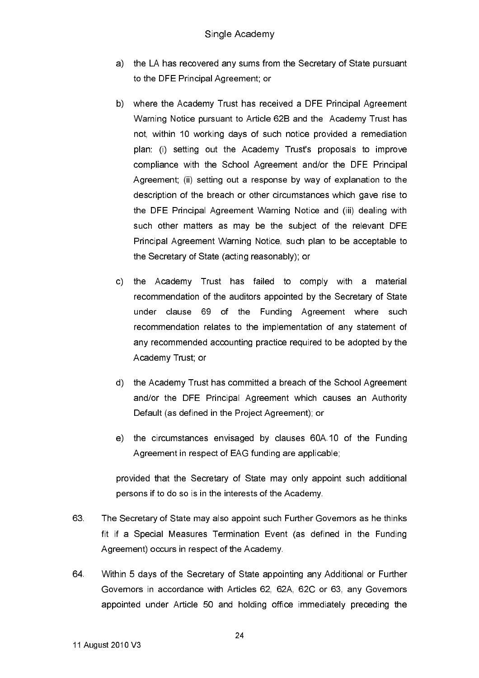- the LA has recovered any sums from the Secretary of State pursuant a) to the DFE Principal Agreement; or
- b) where the Academy Trust has received a DFE Principal Agreement Warning Notice pursuant to Article 62B and the Academy Trust has not, within 10 working days of such notice provided a remediation plan: (i) setting out the Academy Trust's proposals to improve compliance with the School Agreement and/or the DFE Principal Agreement; (ii) setting out a response by way of explanation to the description of the breach or other circumstances which gave rise to the DFE Principal Agreement Warning Notice and (iii) dealing with such other matters as may be the subject of the relevant DFE Principal Agreement Warning Notice, such plan to be acceptable to the Secretary of State (acting reasonably); or
- c) the Academy Trust has failed to comply with a material recommendation of the auditors appointed by the Secretary of State under clause 69 of the Funding Agreement where such recommendation relates to the implementation of any statement of any recommended accounting practice required to be adopted by the Academy Trust; or
- d) the Academy Trust has committed a breach of the School Agreement and/or the DFE Principal Agreement which causes an Authority Default (as defined in the Project Agreement); or
- e) the circumstances envisaged by clauses 60A.10 of the Funding Agreement in respect of EAG funding are applicable;

provided that the Secretary of State may only appoint such additional persons if to do so is in the interests of the Academy.

- 63 The Secretary of State may also appoint such Further Governors as he thinks fit if a Special Measures Termination Event (as defined in the Funding Agreement) occurs in respect of the Academy.
- 64 Within 5 days of the Secretary of State appointing any Additional or Further Governors in accordance with Articles 62, 62A, 62C or 63, any Governors appointed under Article 50 and holding office immediately preceding the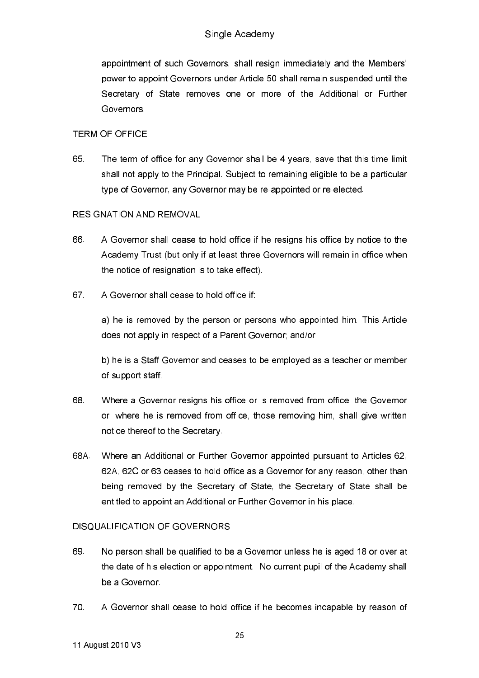appointment of such Governors, shall resign immediately and the Members' power to appoint Governors under Article 50 shall remain suspended until the Secretary of State removes one or more of the Additional or Further Governors.

### **TERM OF OFFICE**

65 The term of office for any Governor shall be 4 years, save that this time limit shall not apply to the Principal. Subiect to remaining eligible to be a particular type of Governor, any Governor may be re-appointed or re-elected.

### **RESIGNATION AND REMOVAL**

- 66 A Governor shall cease to hold office if he resigns his office by notice to the Academy Trust (but only if at least three Governors will remain in office when the notice of resignation is to take effect).
- 67 A Governor shall cease to hold office if:

a) he is removed by the person or persons who appointed him. This Article does not apply in respect of a Parent Governor; and/or

b) he is a Staff Governor and ceases to be emploved as a teacher or member of support staff.

- 68 Where a Governor resigns his office or is removed from office, the Governor or, where he is removed from office, those removing him, shall give written notice thereof to the Secretary.
- 68A Where an Additional or Further Governor appointed pursuant to Articles 62. 62A, 62C or 63 ceases to hold office as a Governor for any reason, other than being removed by the Secretary of State, the Secretary of State shall be entitled to appoint an Additional or Further Governor in his place.

## **DISQUALIFICATION OF GOVERNORS**

- 69 No person shall be qualified to be a Governor unless he is aged 18 or over at the date of his election or appointment. No current pupil of the Academy shall be a Governor
- $70 -$ A Governor shall cease to hold office if he becomes incapable by reason of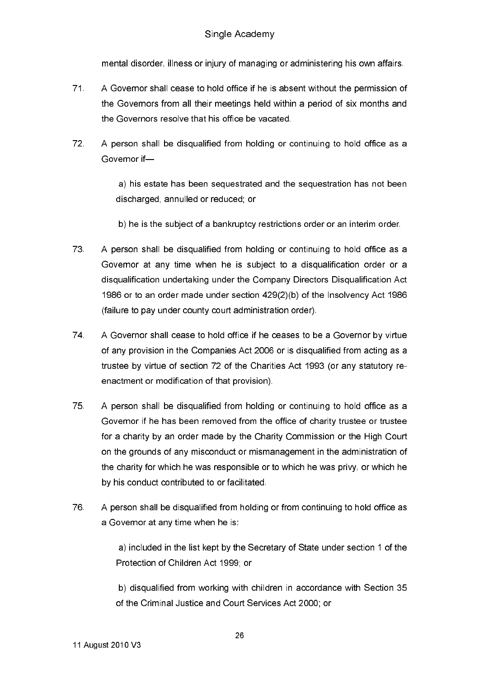mental disorder, illness or injury of managing or administering his own affairs.

- $71.$ A Governor shall cease to hold office if he is absent without the permission of the Governors from all their meetings held within a period of six months and the Governors resolve that his office be vacated.
- 72 A person shall be disqualified from holding or continuing to hold office as a Governor if-

a) his estate has been sequestrated and the sequestration has not been discharged, annulled or reduced; or

- b) he is the subject of a bankruptcy restrictions order or an interim order.
- 73 A person shall be disqualified from holding or continuing to hold office as a Governor at any time when he is subject to a disqualification order or a disqualification undertaking under the Company Directors Disqualification Act 1986 or to an order made under section 429(2)(b) of the Insolvency Act 1986 (failure to pay under county court administration order).
- 74 A Governor shall cease to hold office if he ceases to be a Governor by virtue of any provision in the Companies Act 2006 or is disqualified from acting as a trustee by virtue of section 72 of the Charities Act 1993 (or any statutory reenactment or modification of that provision).
- 75 A person shall be disqualified from holding or continuing to hold office as a Governor if he has been removed from the office of charity trustee or trustee for a charity by an order made by the Charity Commission or the High Court on the grounds of any misconduct or mismanagement in the administration of the charity for which he was responsible or to which he was privy, or which he by his conduct contributed to or facilitated.
- 76 A person shall be disqualified from holding or from continuing to hold office as a Governor at any time when he is:

a) included in the list kept by the Secretary of State under section 1 of the Protection of Children Act 1999; or

b) disqualified from working with children in accordance with Section 35 of the Criminal Justice and Court Services Act 2000; or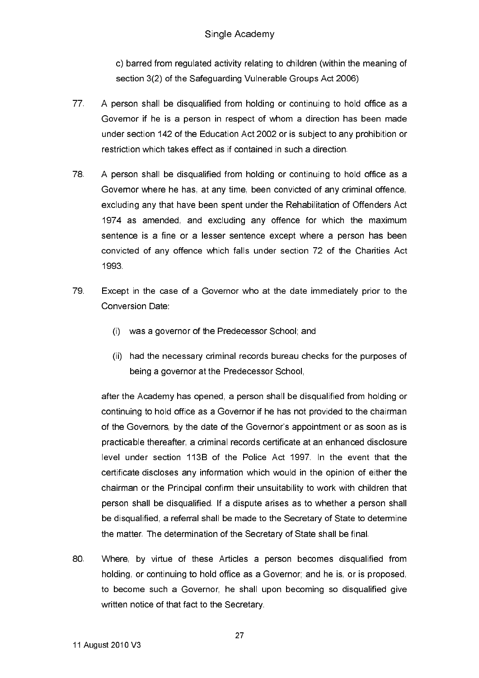c) barred from regulated activity relating to children (within the meaning of section 3(2) of the Safeguarding Vulnerable Groups Act 2006)

- 77 A person shall be disqualified from holding or continuing to hold office as a Governor if he is a person in respect of whom a direction has been made under section 142 of the Education Act 2002 or is subject to any prohibition or restriction which takes effect as if contained in such a direction.
- 78 A person shall be disqualified from holding or continuing to hold office as a Governor where he has, at any time, been convicted of any criminal offence. excluding any that have been spent under the Rehabilitation of Offenders Act 1974 as amended, and excluding any offence for which the maximum sentence is a fine or a lesser sentence except where a person has been convicted of any offence which falls under section 72 of the Charities Act 1993
- 79 Except in the case of a Governor who at the date immediately prior to the Conversion Date:
	- was a governor of the Predecessor School: and  $(i)$
	- (ii) had the necessary criminal records bureau checks for the purposes of being a governor at the Predecessor School,

after the Academy has opened, a person shall be disqualified from holding or continuing to hold office as a Governor if he has not provided to the chairman of the Governors, by the date of the Governor's appointment or as soon as is practicable thereafter, a criminal records certificate at an enhanced disclosure level under section 113B of the Police Act 1997. In the event that the certificate discloses any information which would in the opinion of either the chairman or the Principal confirm their unsuitability to work with children that person shall be disqualified. If a dispute arises as to whether a person shall be disqualified, a referral shall be made to the Secretary of State to determine the matter. The determination of the Secretary of State shall be final.

80. Where, by virtue of these Articles a person becomes disqualified from holding, or continuing to hold office as a Governor; and he is, or is proposed. to become such a Governor, he shall upon becoming so disqualified give written notice of that fact to the Secretary.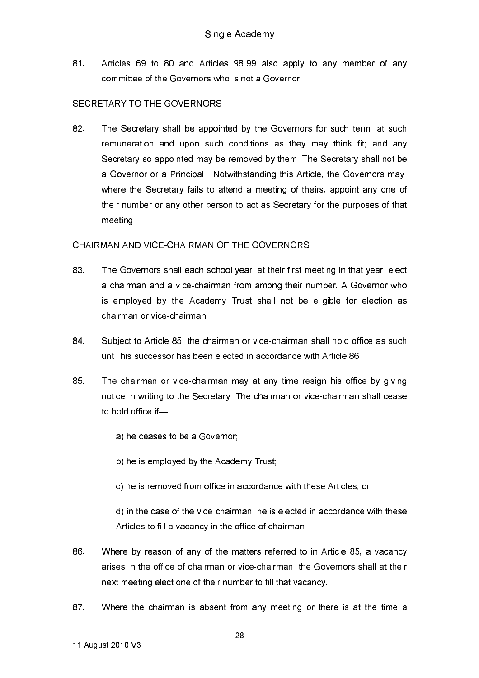Articles 69 to 80 and Articles 98-99 also apply to any member of any 81 committee of the Governors who is not a Governor.

### SECRETARY TO THE GOVERNORS

82. The Secretary shall be appointed by the Governors for such term, at such remuneration and upon such conditions as they may think fit; and any Secretary so appointed may be removed by them. The Secretary shall not be a Governor or a Principal. Notwithstanding this Article, the Governors may. where the Secretary fails to attend a meeting of theirs, appoint any one of their number or any other person to act as Secretary for the purposes of that meeting.

### CHAIRMAN AND VICE-CHAIRMAN OF THE GOVERNORS

- 83. The Governors shall each school year, at their first meeting in that year, elect a chairman and a vice-chairman from among their number. A Governor who is employed by the Academy Trust shall not be eligible for election as chairman or vice-chairman.
- 84 Subject to Article 85, the chairman or vice-chairman shall hold office as such until his successor has been elected in accordance with Article 86.
- 85 The chairman or vice-chairman may at any time resign his office by giving notice in writing to the Secretary. The chairman or vice-chairman shall cease to hold office if
	- a) he ceases to be a Governor:
	- b) he is employed by the Academy Trust;
	- c) he is removed from office in accordance with these Articles; or

d) in the case of the vice-chairman, he is elected in accordance with these Articles to fill a vacancy in the office of chairman.

- 86 Where by reason of any of the matters referred to in Article 85, a vacancy arises in the office of chairman or vice-chairman, the Governors shall at their next meeting elect one of their number to fill that vacancy.
- 87 Where the chairman is absent from any meeting or there is at the time a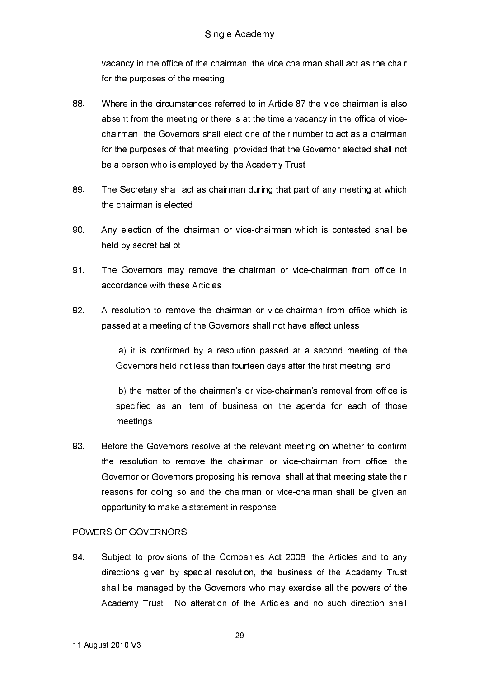vacancy in the office of the chairman, the vice-chairman shall act as the chair for the purposes of the meeting.

- 88 Where in the circumstances referred to in Article 87 the vice-chairman is also absent from the meeting or there is at the time a vacancy in the office of vicechairman, the Governors shall elect one of their number to act as a chairman for the purposes of that meeting, provided that the Governor elected shall not be a person who is employed by the Academy Trust.
- 89. The Secretary shall act as chairman during that part of any meeting at which the chairman is elected.
- 90 Any election of the chairman or vice-chairman which is contested shall be held by secret ballot.
- 91. The Governors may remove the chairman or vice-chairman from office in accordance with these Articles
- 92 A resolution to remove the chairman or vice-chairman from office which is passed at a meeting of the Governors shall not have effect unless-

a) it is confirmed by a resolution passed at a second meeting of the Governors held not less than fourteen days after the first meeting; and

b) the matter of the chairman's or vice-chairman's removal from office is specified as an item of business on the agenda for each of those meetings

93 Before the Governors resolve at the relevant meeting on whether to confirm the resolution to remove the chairman or vice-chairman from office, the Governor or Governors proposing his removal shall at that meeting state their reasons for doing so and the chairman or vice-chairman shall be given an opportunity to make a statement in response.

## POWERS OF GOVERNORS

94 Subject to provisions of the Companies Act 2006, the Articles and to any directions given by special resolution, the business of the Academy Trust shall be managed by the Governors who may exercise all the powers of the Academy Trust. No alteration of the Articles and no such direction shall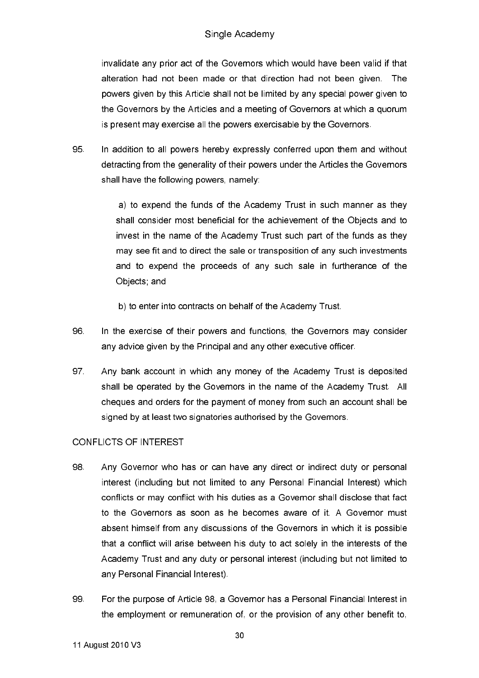# Single Academy

invalidate any prior act of the Governors which would have been valid if that alteration had not been made or that direction had not been given. The powers given by this Article shall not be limited by any special power given to the Governors by the Articles and a meeting of Governors at which a quorum is present may exercise all the powers exercisable by the Governors.

95 In addition to all powers hereby expressly conferred upon them and without detracting from the generality of their powers under the Articles the Governors shall have the following powers, namely:

> a) to expend the funds of the Academy Trust in such manner as they shall consider most beneficial for the achievement of the Objects and to invest in the name of the Academy Trust such part of the funds as they may see fit and to direct the sale or transposition of any such investments and to expend the proceeds of any such sale in furtherance of the Objects and

b) to enter into contracts on behalf of the Academy Trust.

- 96. In the exercise of their powers and functions, the Governors may consider any advice given by the Principal and any other executive officer.
- 97 Any bank account in which any money of the Academy Trust is deposited shall be operated by the Governors in the name of the Academy Trust. All cheques and orders for the payment of money from such an account shall be signed by at least two signatories authorised by the Governors.

### **CONFLICTS OF INTEREST**

- 98 Any Govemor who has or can have any direct or indirect duty or personal interest (including but not limited to any Personal Financial Interest) which conflicts or may conflict with his duties as a Governor shall disclose that fact to the Governors as soon as he becomes aware of it. A Governor must absent himself from any discussions of the Governors in which it is possible that a conflict will arise between his duty to act solely in the interests of the Academy Trust and any duty or personal interest (including but not limited to any Personal Financial Interest).
- 99 For the purpose of Article 98, a Governor has a Personal Financial Interest in the employment or remuneration of, or the provision of any other benefit to.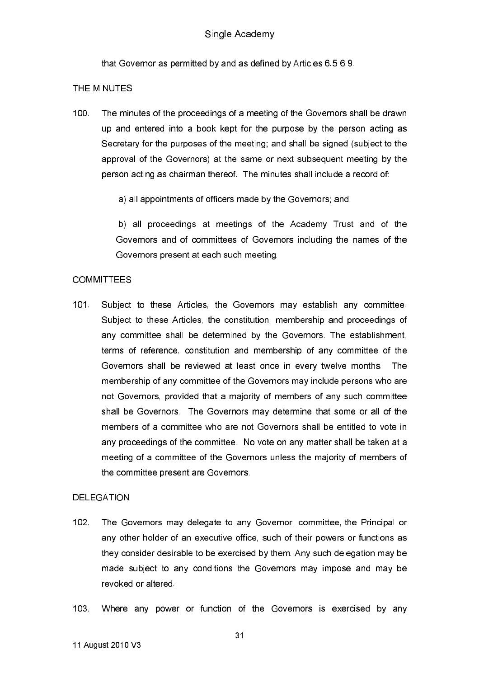that Governor as permitted by and as defined by Articles 6.5-6.9.

#### THE MINUTES

 $100 -$ The minutes of the proceedings of a meeting of the Governors shall be drawn up and entered into a book kept for the purpose by the person acting as Secretary for the purposes of the meeting; and shall be signed (subject to the approval of the Governors) at the same or next subsequent meeting by the person acting as chairman thereof. The minutes shall include a record of:

a) all appointments of officers made by the Governors; and

b) all proceedings at meetings of the Academy Trust and of the Governors and of committees of Governors including the names of the Governors present at each such meeting.

### **COMMITTEES**

 $101$ Subject to these Articles, the Governors may establish any committee. Subject to these Articles, the constitution, membership and proceedings of any committee shall be determined by the Governors. The establishment, terms of reference, constitution and membership of any committee of the Governors shall be reviewed at least once in every twelve months. The membership of any committee of the Governors may include persons who are not Governors, provided that a majority of members of any such committee shall be Governors. The Governors may determine that some or all of the members of a committee who are not Governors shall be entitled to vote in any proceedings of the committee. No vote on any matter shall be taken at a meeting of a committee of the Governors unless the majority of members of the committee present are Governors.

### **DELEGATION**

- $102<sub>1</sub>$ The Governors may delegate to any Governor, committee, the Principal or any other holder of an executive office, such of their powers or functions as they consider desirable to be exercised by them. Any such delegation may be made subject to any conditions the Governors may impose and may be revoked or altered.
- $103 -$ Where any power or function of the Governors is exercised by any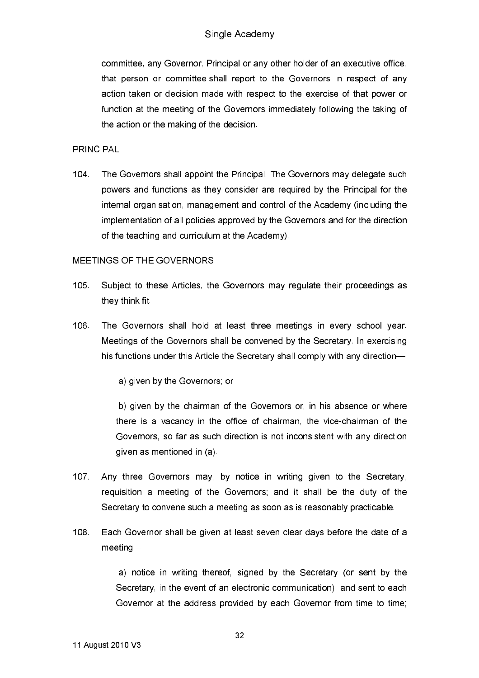committee, any Governor, Principal or any other holder of an executive office, that person or committee shall report to the Governors in respect of any action taken or decision made with respect to the exercise of that power or function at the meeting of the Governors immediately following the taking of the action or the making of the decision.

**PRINCIPAL** 

 $104$ The Governors shall appoint the Principal. The Governors may delegate such powers and functions as they consider are required by the Principal for the internal organisation, management and control of the Academy (including the implementation of all policies approved by the Governors and for the direction of the teaching and curriculum at the Academy).

### MEETINGS OF THE GOVERNORS

- $105<sub>1</sub>$ Subject to these Articles, the Governors may regulate their proceedings as they think fit
- 106. The Governors shall hold at least three meetings in every school year. Meetings of the Governors shall be convened by the Secretary. In exercising his functions under this Article the Secretary shall comply with any direction-

a) given by the Governors; or

b) given by the chairman of the Governors or, in his absence or where there is a vacancy in the office of chairman, the vice-chairman of the Governors, so far as such direction is not inconsistent with any direction given as mentioned in (a)

- 107 Any three Governors may, by notice in writing given to the Secretary, requisition a meeting of the Governors; and it shall be the duty of the Secretary to convene such a meeting as soon as is reasonably practicable.
- 108 Each Governor shall be given at least seven clear days before the date of a  $meeting -$

a) notice in writing thereof, signed by the Secretary (or sent by the Secretary, in the event of an electronic communication) and sent to each Governor at the address provided by each Governor from time to time;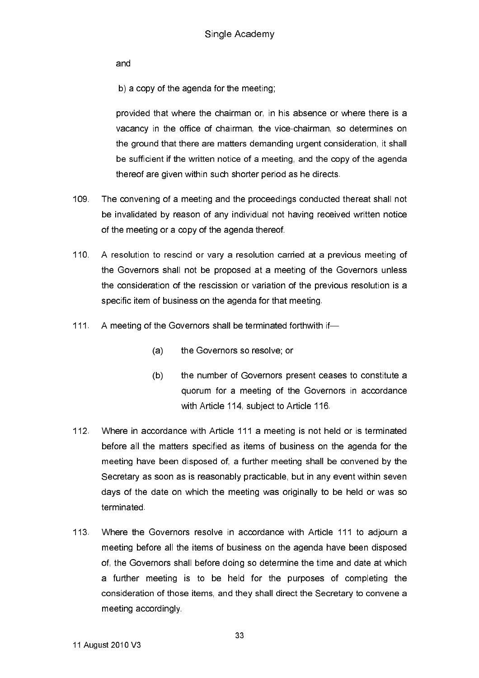and

b) a copy of the agenda for the meeting.

provided that where the chairman or, in his absence or where there is a vacancy in the office of chairman, the vice-chairman, so determines on the ground that there are matters demanding urgent consideration, it shall be sufficient if the written notice of a meeting, and the copy of the agenda thereof are given within such shorter period as he directs.

- 109 The convening of a meeting and the proceedings conducted thereat shall not be invalidated by reason of any individual not having received written notice of the meeting or a copy of the agenda thereof.
- $110$ A resolution to rescind or vary a resolution carried at a previous meeting of the Governors shall not be proposed at a meeting of the Governors unless the consideration of the rescission or variation of the previous resolution is a specific item of business on the agenda for that meeting.
- $111$ A meeting of the Governors shall be terminated forthwith if-
	- $(a)$ the Governors so resolve: or
	- $(b)$ the number of Governors present ceases to constitute a quorum for a meeting of the Governors in accordance with Article 114, subject to Article 116.
- $112 -$ Where in accordance with Article 111 a meeting is not held or is terminated before all the matters specified as items of business on the agenda for the meeting have been disposed of, a further meeting shall be convened by the Secretary as soon as is reasonably practicable, but in any event within seven days of the date on which the meeting was originally to be held or was so terminated.
- $113$ Where the Governors resolve in accordance with Article 111 to adjourn a meeting before all the items of business on the agenda have been disposed of, the Governors shall before doing so determine the time and date at which a further meeting is to be held for the purposes of completing the consideration of those items, and they shall direct the Secretary to convene a meeting accordingly.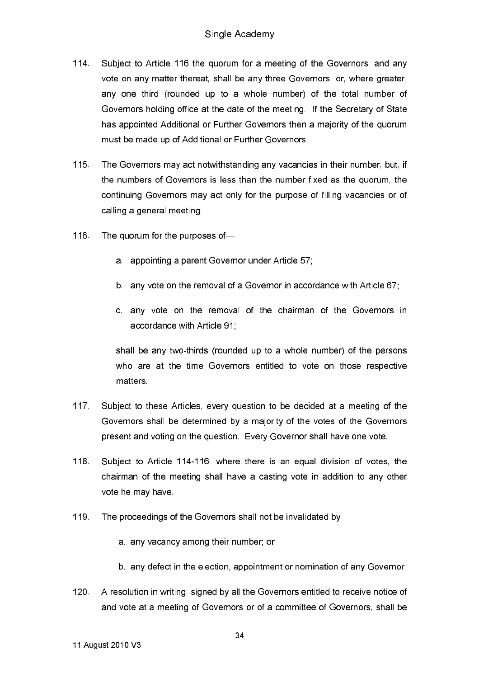- $114$ Subject to Article 116 the quorum for a meeting of the Governors, and any vote on any matter thereat, shall be any three Governors, or, where greater, any one third (rounded up to a whole number) of the total number of Governors holding office at the date of the meeting. If the Secretary of State has appointed Additional or Further Governors then a majority of the quorum must be made up of Additional or Further Governors.
- $115$ The Governors may act notwithstanding any vacancies in their number, but, if the numbers of Governors is less than the number fixed as the quorum, the continuing Governors may act only for the purpose of filling vacancies or of calling a general meeting.
- $116$ The quorum for the purposes of
	- a appointing a parent Governor under Article 57;
	- b. any vote on the removal of a Governor in accordance with Article 67;
	- c. any vote on the removal of the chairman of the Governors in accordance with Article 91;

shall be any two-thirds (rounded up to a whole number) of the persons who are at the time Governors entitled to vote on those respective matters.

- $117<sub>2</sub>$ Subject to these Articles, every question to be decided at a meeting of the Governors shall be determined by a majority of the votes of the Governors present and voting on the question. Every Governor shall have one vote.
- $118.$ Subject to Article 114-116, where there is an equal division of votes, the chairman of the meeting shall have a casting vote in addition to any other vote he may have.
- 119 The proceedings of the Governors shall not be invalidated by
	- a. any vacancy among their number; or
	- b. any defect in the election, appointment or nomination of any Governor.
- $120$ A resolution in writing, signed by all the Governors entitled to receive notice of and vote at a meeting of Governors or of a committee of Governors, shall be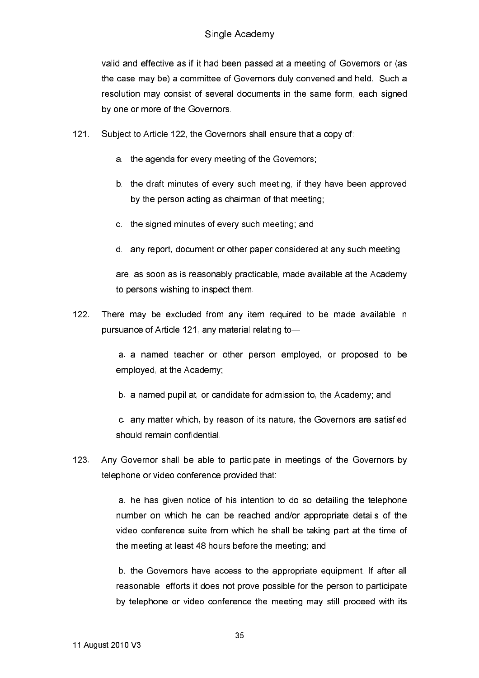valid and effective as if it had been passed at a meeting of Governors or (as the case may be) a committee of Governors duly convened and held. Such a resolution may consist of several documents in the same form, each signed by one or more of the Governors.

- $121$ Subject to Article 122, the Governors shall ensure that a copy of:
	- a the agenda for every meeting of the Governors;
	- b. the draft minutes of every such meeting, if they have been approved by the person acting as chairman of that meeting;
	- c. the signed minutes of every such meeting; and
	- d. any report, document or other paper considered at any such meeting,

are, as soon as is reasonably practicable, made available at the Academy to persons wishing to inspect them.

 $122$ There may be excluded from any item required to be made available in pursuance of Article 121, any material relating to-

> a a named teacher or other person employed, or proposed to be employed, at the Academy;

b. a named pupil at, or candidate for admission to, the Academy; and

c. any matter which, by reason of its nature, the Governors are satisfied should remain confidential.

 $123$ Any Governor shall be able to participate in meetings of the Governors by telephone or video conference provided that:

> a. he has given notice of his intention to do so detailing the telephone number on which he can be reached and/or appropriate details of the video conference suite from which he shall be taking part at the time of the meeting at least 48 hours before the meeting; and

> b. the Governors have access to the appropriate equipment. If after all reasonable efforts it does not prove possible for the person to participate by telephone or video conference the meeting may still proceed with its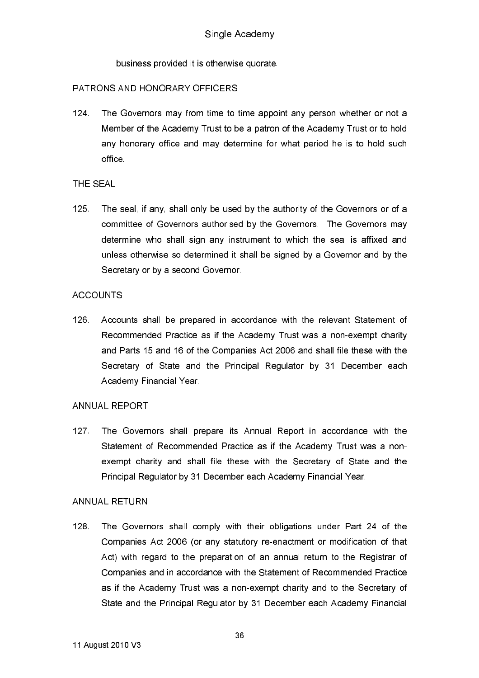business provided it is otherwise quorate.

### PATRONS AND HONORARY OFFICERS

 $124$ The Governors may from time to time appoint any person whether or not a Member of the Academy Trust to be a patron of the Academy Trust or to hold any honorary office and may determine for what period he is to hold such office

### THE SEAL

 $125$ The seal, if any, shall only be used by the authority of the Governors or of a committee of Governors authorised by the Governors. The Governors may determine who shall sign any instrument to which the seal is affixed and unless otherwise so determined it shall be signed by a Governor and by the Secretary or by a second Governor.

### **ACCOUNTS**

126 Accounts shall be prepared in accordance with the relevant Statement of Recommended Practice as if the Academy Trust was a non-exempt charity and Parts 15 and 16 of the Companies Act 2006 and shall file these with the Secretary of State and the Principal Regulator by 31 December each Academy Financial Year.

### ANNUAL REPORT

The Governors shall prepare its Annual Report in accordance with the  $127$ Statement of Recommended Practice as if the Academy Trust was a nonexempt charity and shall file these with the Secretary of State and the Principal Regulator by 31 December each Academy Financial Year.

#### **ANNUAL RETURN**

 $128$ The Governors shall comply with their obligations under Part 24 of the Companies Act 2006 (or any statutory re-enactment or modification of that Act) with regard to the preparation of an annual return to the Registrar of Companies and in accordance with the Statement of Recommended Practice as if the Academy Trust was a non-exempt charity and to the Secretary of State and the Principal Regulator by 31 December each Academy Financial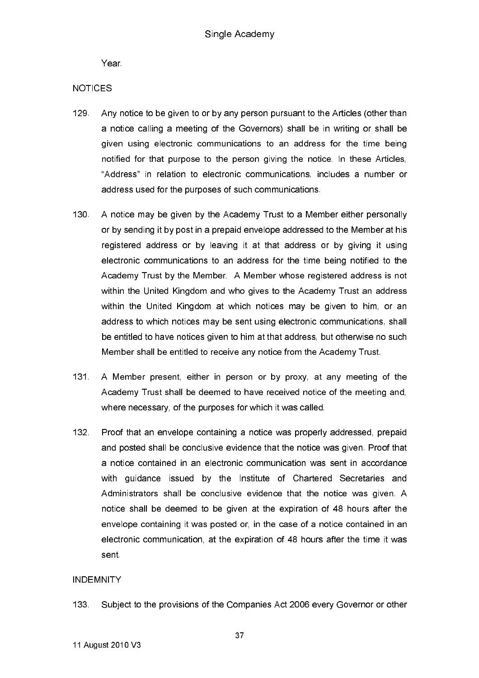Year.

### **NOTICES**

- 129 Any notice to be given to or by any person pursuant to the Articles (other than a notice calling a meeting of the Governors) shall be in writing or shall be given using electronic communications to an address for the time being notified for that purpose to the person giving the notice. In these Articles, "Address" in relation to electronic communications, includes a number or address used for the purposes of such communications.
- 130 A notice may be given by the Academy Trust to a Member either personally or by sending it by post in a prepaid envelope addressed to the Member at his registered address or by leaving it at that address or by giving it using electronic communications to an address for the time being notified to the Academy Trust by the Member A Member whose registered address is not within the United Kingdom and who gives to the Academy Trust an address within the United Kingdom at which notices may be given to him, or an address to which notices may be sent using electronic communications, shall be entitled to have notices given to him at that address, but otherwise no such Member shall be entitled to receive any notice from the Academy Trust.
- $131 -$ A Member present, either in person or by proxy, at any meeting of the Academy Trust shall be deemed to have received notice of the meeting and, where necessary, of the purposes for which it was called.
- $132<sub>1</sub>$ Proof that an envelope containing a notice was properly addressed, prepaid and posted shall be conclusive evidence that the notice was given. Proof that a notice contained in an electronic communication was sent in accordance with guidance issued by the Institute of Chartered Secretaries and Administrators shall be conclusive evidence that the notice was given. A notice shall be deemed to be given at the expiration of 48 hours after the envelope containing it was posted or, in the case of a notice contained in an electronic communication, at the expiration of 48 hours after the time it was sent

### **INDEMNITY**

133. Subject to the provisions of the Companies Act 2006 every Governor or other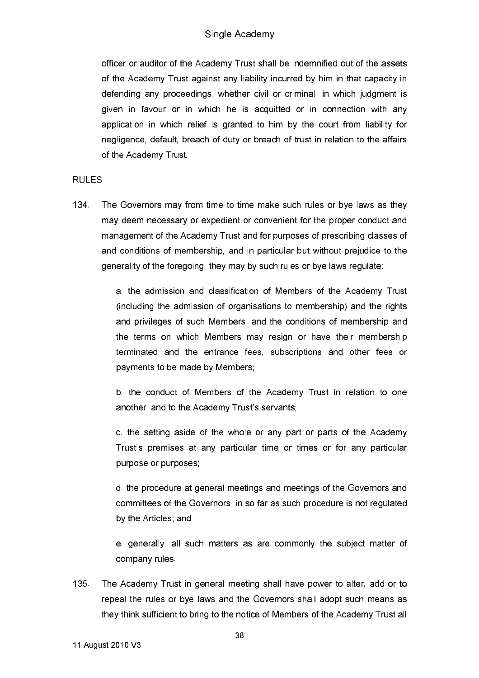officer or auditor of the Academy Trust shall be indemnified out of the assets of the Academy Trust against any liability incurred by him in that capacity in defending any proceedings, whether civil or criminal, in which judgment is given in favour or in which he is acquitted or in connection with any application in which relief is granted to him by the court from liability for negligence, default, breach of duty or breach of trust in relation to the affairs of the Academy Trust.

#### **RULES**

134 The Governors may from time to time make such rules or bye laws as they may deem necessary or expedient or convenient for the proper conduct and management of the Academy Trust and for purposes of prescribing classes of and conditions of membership, and in particular but without prejudice to the generality of the foregoing, they may by such rules or bye laws regulate:

> a. the admission and classification of Members of the Academy Trust (including the admission of organisations to membership) and the rights and privileges of such Members, and the conditions of membership and the terms on which Members may resign or have their membership terminated and the entrance fees, subscriptions and other fees or payments to be made by Members:

> b. the conduct of Members of the Academy Trust in relation to one another, and to the Academy Trust's servants;

> c. the setting aside of the whole or any part or parts of the Academy Trust's premises at any particular time or times or for any particular purpose or purposes;

> d. the procedure at general meetings and meetings of the Governors and committees of the Governors in so far as such procedure is not regulated by the Articles; and

> e. generally, all such matters as are commonly the subject matter of company rules.

135. The Academy Trust in general meeting shall have power to alter, add or to repeal the rules or bye laws and the Governors shall adopt such means as they think sufficient to bring to the notice of Members of the Academy Trust all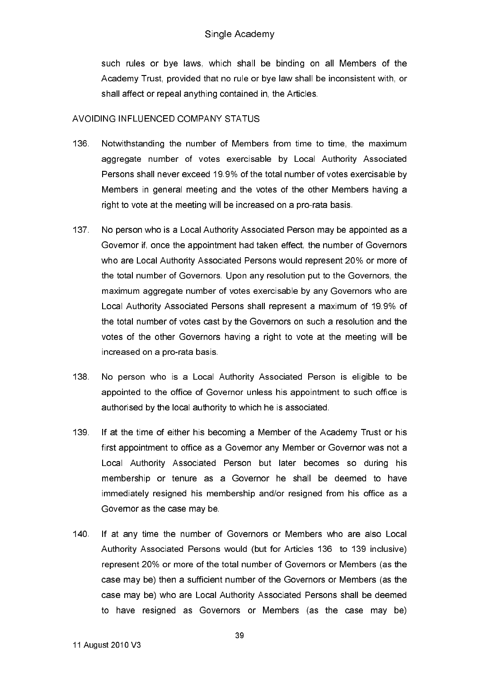such rules or bye laws, which shall be binding on all Members of the Academy Trust, provided that no rule or bye law shall be inconsistent with, or shall affect or repeal anything contained in, the Articles.

### AVOIDING INFLUENCED COMPANY STATUS

- 136. Notwithstanding the number of Members from time to time, the maximum aggregate number of votes exercisable by Local Authority Associated Persons shall never exceed 19.9% of the total number of votes exercisable by Members in general meeting and the votes of the other Members having a right to vote at the meeting will be increased on a pro-rata basis.
- 137 No person who is a Local Authority Associated Person may be appointed as a Governor if, once the appointment had taken effect, the number of Governors who are Local Authority Associated Persons would represent 20% or more of the total number of Governors. Upon any resolution put to the Governors, the maximum aggregate number of votes exercisable by any Governors who are Local Authority Associated Persons shall represent a maximum of 19.9% of the total number of votes cast by the Governors on such a resolution and the votes of the other Governors having a right to vote at the meeting will be increased on a pro-rata basis.
- 138 No person who is a Local Authority Associated Person is eligible to be appointed to the office of Governor unless his appointment to such office is authorised by the local authority to which he is associated.
- 139. If at the time of either his becoming a Member of the Academy Trust or his first appointment to office as a Governor any Member or Governor was not a Local Authority Associated Person but later becomes so during his membership or tenure as a Governor he shall be deemed to have immediately resigned his membership and/or resigned from his office as a Governor as the case may be.
- $140$ If at any time the number of Governors or Members who are also Local Authority Associated Persons would (but for Articles 136 to 139 inclusive) represent 20% or more of the total number of Governors or Members (as the case may be) then a sufficient number of the Governors or Members (as the case may be) who are Local Authority Associated Persons shall be deemed to have resigned as Governors or Members (as the case may be)